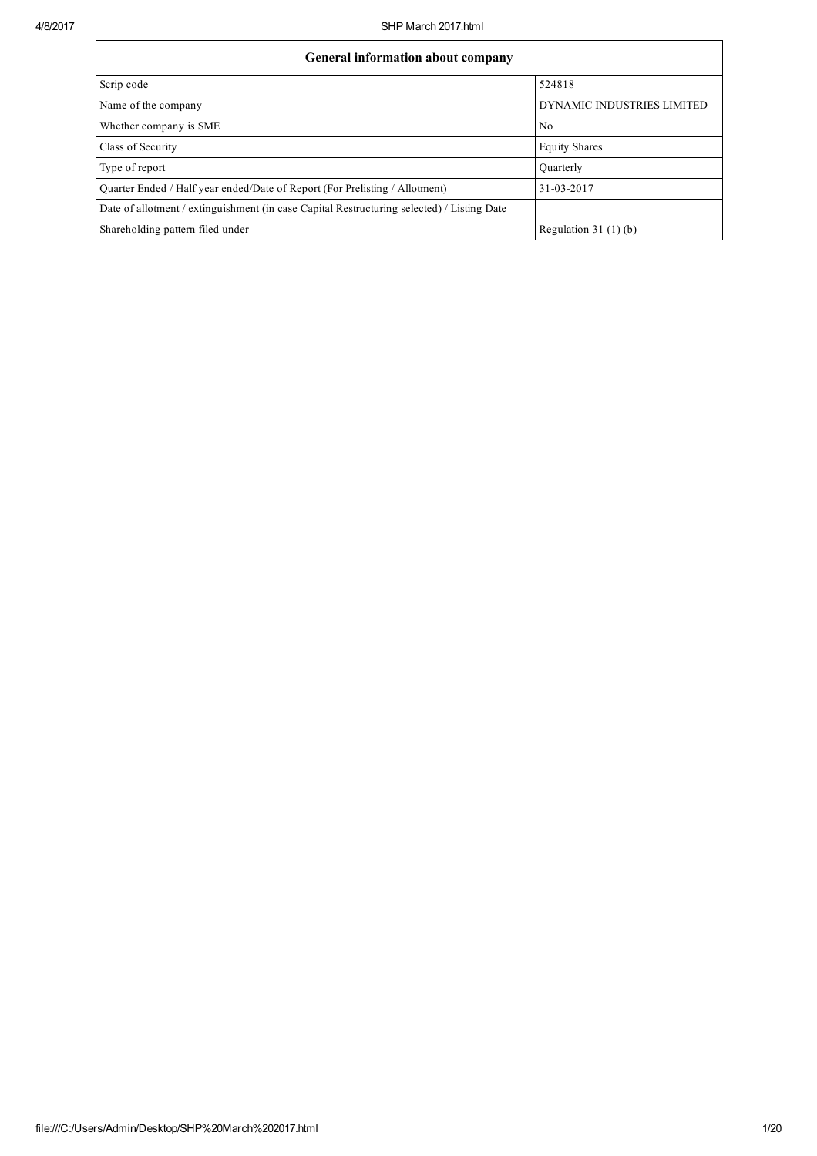| General information about company                                                          |                            |  |  |  |  |
|--------------------------------------------------------------------------------------------|----------------------------|--|--|--|--|
| Scrip code                                                                                 | 524818                     |  |  |  |  |
| Name of the company                                                                        | DYNAMIC INDUSTRIES LIMITED |  |  |  |  |
| Whether company is SME                                                                     | No.                        |  |  |  |  |
| Class of Security                                                                          | <b>Equity Shares</b>       |  |  |  |  |
| Type of report                                                                             | Quarterly                  |  |  |  |  |
| Quarter Ended / Half year ended/Date of Report (For Prelisting / Allotment)                | 31-03-2017                 |  |  |  |  |
| Date of allotment / extinguishment (in case Capital Restructuring selected) / Listing Date |                            |  |  |  |  |
| Shareholding pattern filed under                                                           | Regulation $31(1)(b)$      |  |  |  |  |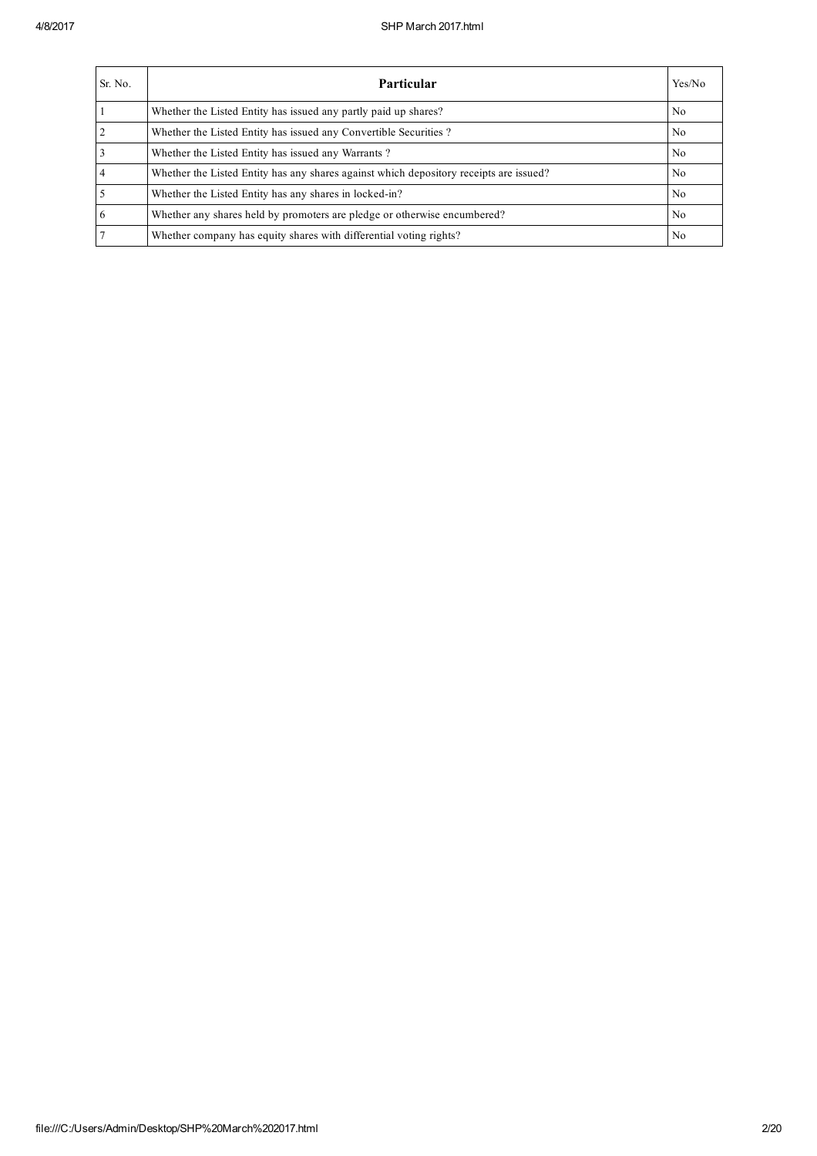| Sr. No. | <b>Particular</b>                                                                      | Yes/No         |
|---------|----------------------------------------------------------------------------------------|----------------|
|         | Whether the Listed Entity has issued any partly paid up shares?                        | N <sub>0</sub> |
|         | Whether the Listed Entity has issued any Convertible Securities?                       | N <sub>0</sub> |
|         | Whether the Listed Entity has issued any Warrants?                                     | N <sub>0</sub> |
|         | Whether the Listed Entity has any shares against which depository receipts are issued? | No.            |
|         | Whether the Listed Entity has any shares in locked-in?                                 | N <sub>0</sub> |
| 6       | Whether any shares held by promoters are pledge or otherwise encumbered?               | N <sub>0</sub> |
|         | Whether company has equity shares with differential voting rights?                     | No             |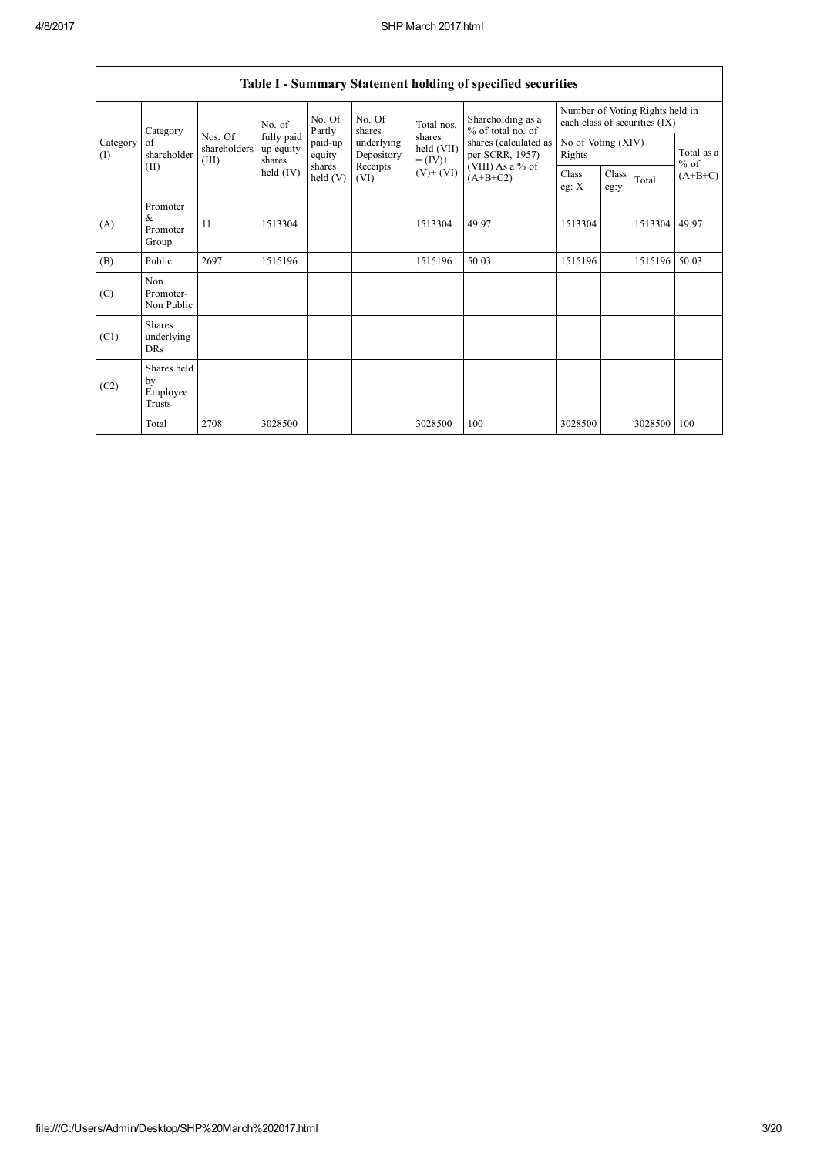|                 | Table I - Summary Statement holding of specified securities |                                                                                                       |                                   |                         |                          |                          |                                                             |                                                                  |  |         |                      |
|-----------------|-------------------------------------------------------------|-------------------------------------------------------------------------------------------------------|-----------------------------------|-------------------------|--------------------------|--------------------------|-------------------------------------------------------------|------------------------------------------------------------------|--|---------|----------------------|
|                 | Category                                                    |                                                                                                       | No. of                            | No. Of<br>Partly        | No. Of<br>shares         | Total nos.               | Shareholding as a<br>$%$ of total no. of<br>per SCRR, 1957) | Number of Voting Rights held in<br>each class of securities (IX) |  |         |                      |
| Category<br>(1) | of<br>shareholder                                           | Nos. Of<br>shareholders<br>(III)                                                                      | fully paid<br>up equity<br>shares | paid-up<br>equity       | underlying<br>Depository | held (VII)<br>$= (IV) +$ |                                                             | shares<br>shares (calculated as<br>No of Voting (XIV)<br>Rights  |  |         | Total as a<br>$%$ of |
|                 | (II)                                                        | Receipts<br>(VIII) As a % of<br>shares<br>held (IV)<br>$(V)+(VI)$<br>$(A+B+C2)$<br>held $(V)$<br>(VI) |                                   | <b>Class</b><br>eg: $X$ | Class<br>eg:y            | Total                    | $(A+B+C)$                                                   |                                                                  |  |         |                      |
| (A)             | Promoter<br>&<br>Promoter<br>Group                          | 11                                                                                                    | 1513304                           |                         |                          | 1513304                  | 49.97                                                       | 1513304                                                          |  | 1513304 | 49.97                |
| (B)             | Public                                                      | 2697                                                                                                  | 1515196                           |                         |                          | 1515196                  | 50.03                                                       | 1515196                                                          |  | 1515196 | 50.03                |
| (C)             | Non<br>Promoter-<br>Non Public                              |                                                                                                       |                                   |                         |                          |                          |                                                             |                                                                  |  |         |                      |
| (C1)            | <b>Shares</b><br>underlying<br><b>DRs</b>                   |                                                                                                       |                                   |                         |                          |                          |                                                             |                                                                  |  |         |                      |
| (C2)            | Shares held<br>by<br>Employee<br>Trusts                     |                                                                                                       |                                   |                         |                          |                          |                                                             |                                                                  |  |         |                      |
|                 | Total                                                       | 2708                                                                                                  | 3028500                           |                         |                          | 3028500                  | 100                                                         | 3028500                                                          |  | 3028500 | 100                  |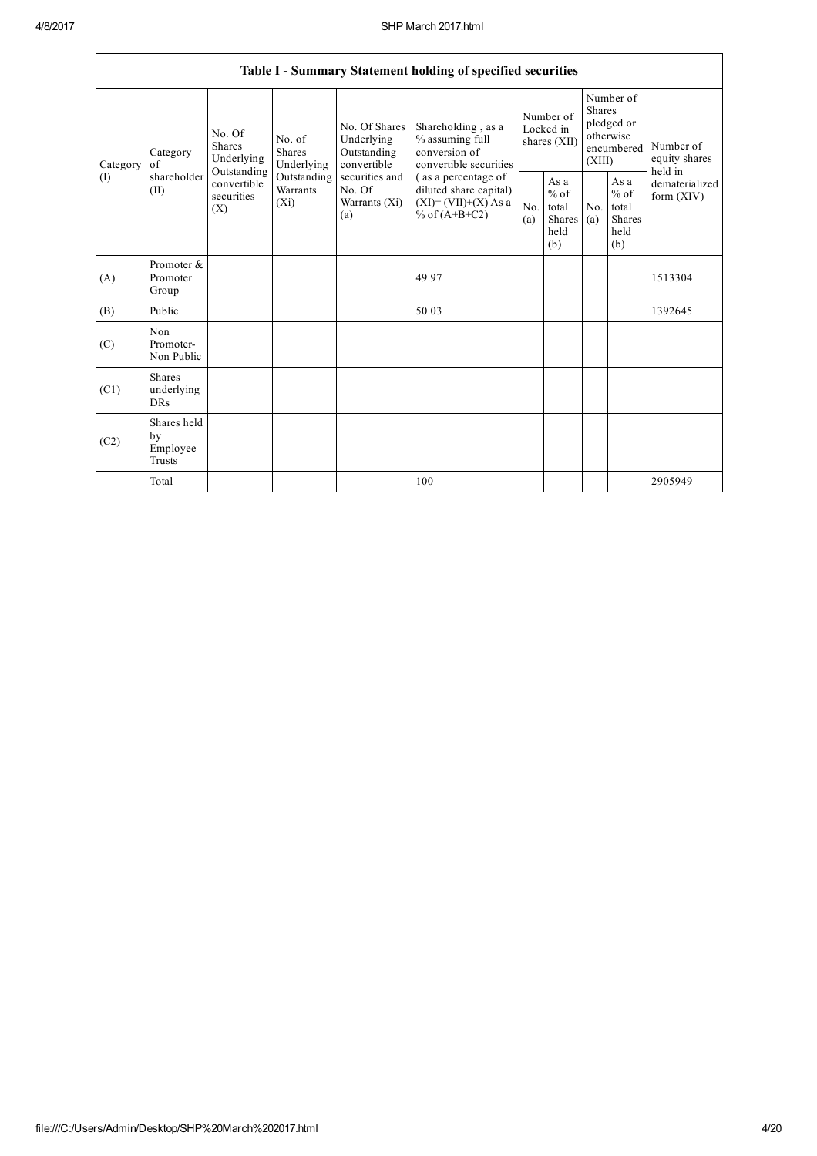|                            |                                           |                                                 |                                                           |                                                                                  | Table I - Summary Statement holding of specified securities                               |            |                                                                                 |            |                                                   |                                |
|----------------------------|-------------------------------------------|-------------------------------------------------|-----------------------------------------------------------|----------------------------------------------------------------------------------|-------------------------------------------------------------------------------------------|------------|---------------------------------------------------------------------------------|------------|---------------------------------------------------|--------------------------------|
| Category<br>of<br>Category | No. Of<br><b>Shares</b><br>Underlying     | No. of<br><b>Shares</b><br>Underlying           | No. Of Shares<br>Underlying<br>Outstanding<br>convertible | Shareholding, as a<br>% assuming full<br>conversion of<br>convertible securities | Number of<br>Locked in<br>shares (XII)                                                    |            | Number of<br><b>Shares</b><br>pledged or<br>otherwise<br>encumbered  <br>(XIII) |            | Number of<br>equity shares<br>held in             |                                |
| (1)                        | shareholder<br>(II)                       | Outstanding<br>convertible<br>securities<br>(X) | Outstanding<br>Warrants<br>$(X_i)$                        | securities and<br>No. Of<br>Warrants (Xi)<br>(a)                                 | (as a percentage of<br>diluted share capital)<br>$(XI)=(VII)+(X) As a$<br>% of $(A+B+C2)$ | No.<br>(a) | As a<br>$%$ of<br>total<br>Shares<br>held<br>(b)                                | No.<br>(a) | As a<br>$\%$ of<br>total<br>Shares<br>held<br>(b) | dematerialized<br>form $(XIV)$ |
| (A)                        | Promoter &<br>Promoter<br>Group           |                                                 |                                                           |                                                                                  | 49.97                                                                                     |            |                                                                                 |            |                                                   | 1513304                        |
| (B)                        | Public                                    |                                                 |                                                           |                                                                                  | 50.03                                                                                     |            |                                                                                 |            |                                                   | 1392645                        |
| (C)                        | Non<br>Promoter-<br>Non Public            |                                                 |                                                           |                                                                                  |                                                                                           |            |                                                                                 |            |                                                   |                                |
| (C1)                       | <b>Shares</b><br>underlying<br><b>DRs</b> |                                                 |                                                           |                                                                                  |                                                                                           |            |                                                                                 |            |                                                   |                                |
| (C2)                       | Shares held<br>by<br>Employee<br>Trusts   |                                                 |                                                           |                                                                                  |                                                                                           |            |                                                                                 |            |                                                   |                                |
|                            | Total                                     |                                                 |                                                           |                                                                                  | 100                                                                                       |            |                                                                                 |            |                                                   | 2905949                        |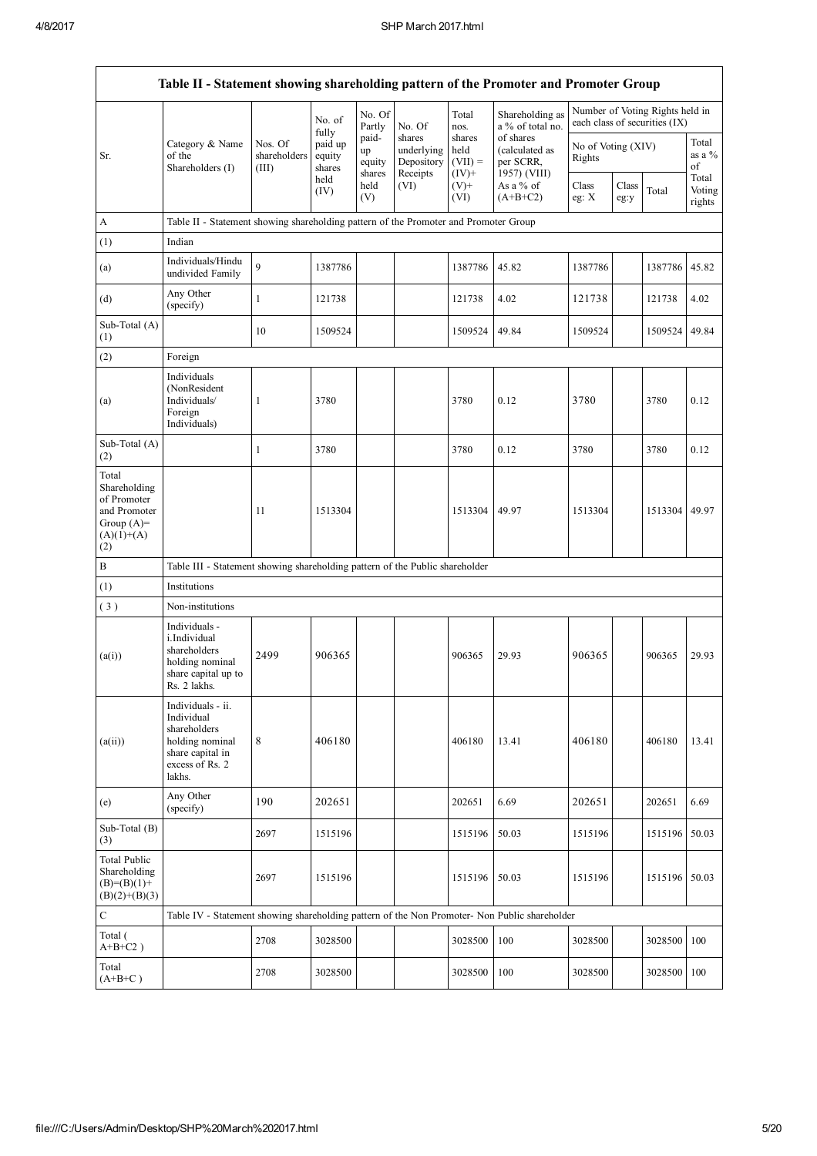$\mathsf{r}$ 

| Table II - Statement showing shareholding pattern of the Promoter and Promoter Group        |                                                                                                                     |                                  |                             |                       |                                                |                                        |                                                          |                              |               |                                                                  |                           |
|---------------------------------------------------------------------------------------------|---------------------------------------------------------------------------------------------------------------------|----------------------------------|-----------------------------|-----------------------|------------------------------------------------|----------------------------------------|----------------------------------------------------------|------------------------------|---------------|------------------------------------------------------------------|---------------------------|
|                                                                                             |                                                                                                                     |                                  | No. of<br>fully             | No. Of<br>Partly      | No. Of                                         | Total<br>nos.                          | Shareholding as<br>a % of total no.                      |                              |               | Number of Voting Rights held in<br>each class of securities (IX) |                           |
| Sr.                                                                                         | Category & Name<br>of the<br>Shareholders (I)                                                                       | Nos. Of<br>shareholders<br>(III) | paid up<br>equity<br>shares | paid-<br>up<br>equity | shares<br>underlying<br>Depository<br>Receipts | shares<br>held<br>$(VII) =$<br>$(IV)+$ | of shares<br>(calculated as<br>per SCRR,<br>1957) (VIII) | No of Voting (XIV)<br>Rights |               |                                                                  | Total<br>as a $%$<br>of   |
|                                                                                             |                                                                                                                     |                                  | held<br>(IV)                | shares<br>held<br>(V) | (VI)                                           | $(V)$ +<br>(VI)                        | As a % of<br>$(A+B+C2)$                                  | Class<br>eg: $X$             | Class<br>eg:y | Total                                                            | Total<br>Voting<br>rights |
| A                                                                                           | Table II - Statement showing shareholding pattern of the Promoter and Promoter Group                                |                                  |                             |                       |                                                |                                        |                                                          |                              |               |                                                                  |                           |
| (1)                                                                                         | Indian                                                                                                              |                                  |                             |                       |                                                |                                        |                                                          |                              |               |                                                                  |                           |
| (a)                                                                                         | Individuals/Hindu<br>undivided Family                                                                               | $\mathbf{Q}$                     | 1387786                     |                       |                                                | 1387786                                | 45.82                                                    | 1387786                      |               | 1387786                                                          | 45.82                     |
| (d)                                                                                         | Any Other<br>(specify)                                                                                              | 1                                | 121738                      |                       |                                                | 121738                                 | 4.02                                                     | 121738                       |               | 121738                                                           | 4.02                      |
| Sub-Total (A)<br>(1)                                                                        |                                                                                                                     | 10                               | 1509524                     |                       |                                                | 1509524                                | 49.84                                                    | 1509524                      |               | 1509524                                                          | 49.84                     |
| (2)                                                                                         | Foreign                                                                                                             |                                  |                             |                       |                                                |                                        |                                                          |                              |               |                                                                  |                           |
| (a)                                                                                         | Individuals<br>(NonResident<br>Individuals/<br>Foreign<br>Individuals)                                              | $\mathbf{1}$                     | 3780                        |                       |                                                | 3780                                   | 0.12                                                     | 3780                         |               | 3780                                                             | 0.12                      |
| Sub-Total (A)<br>(2)                                                                        |                                                                                                                     | 1                                | 3780                        |                       |                                                | 3780                                   | 0.12                                                     | 3780                         |               | 3780                                                             | 0.12                      |
| Total<br>Shareholding<br>of Promoter<br>and Promoter<br>Group $(A)=$<br>$(A)(1)+(A)$<br>(2) |                                                                                                                     | 11                               | 1513304                     |                       |                                                | 1513304                                | 49.97                                                    | 1513304                      |               | 1513304 49.97                                                    |                           |
| $\, {\bf B}$                                                                                | Table III - Statement showing shareholding pattern of the Public shareholder                                        |                                  |                             |                       |                                                |                                        |                                                          |                              |               |                                                                  |                           |
| (1)                                                                                         | Institutions                                                                                                        |                                  |                             |                       |                                                |                                        |                                                          |                              |               |                                                                  |                           |
| (3)                                                                                         | Non-institutions                                                                                                    |                                  |                             |                       |                                                |                                        |                                                          |                              |               |                                                                  |                           |
| (a(i))                                                                                      | Individuals -<br>i.Individual<br>shareholders<br>holding nominal<br>share capital up to<br>Rs. 2 lakhs.             | 2499                             | 906365                      |                       |                                                | 906365                                 | 29.93                                                    | 906365                       |               | 906365                                                           | 29.93                     |
| (a(ii))                                                                                     | Individuals - ii.<br>Individual<br>shareholders<br>holding nominal<br>share capital in<br>excess of Rs. 2<br>lakhs. | $\,8\,$                          | 406180                      |                       |                                                | 406180                                 | 13.41                                                    | 406180                       |               | 406180                                                           | 13.41                     |
| (e)                                                                                         | Any Other<br>(specify)                                                                                              | 190                              | 202651                      |                       |                                                | 202651                                 | 6.69                                                     | 202651                       |               | 202651                                                           | 6.69                      |
| Sub-Total (B)<br>(3)                                                                        |                                                                                                                     | 2697                             | 1515196                     |                       |                                                | 1515196                                | 50.03                                                    | 1515196                      |               | 1515196                                                          | 50.03                     |
| <b>Total Public</b><br>Shareholding<br>$(B)=(B)(1)+$<br>$(B)(2)+(B)(3)$                     |                                                                                                                     | 2697                             | 1515196                     |                       |                                                | 1515196                                | 50.03                                                    | 1515196                      |               | 1515196                                                          | 50.03                     |
| $\mathbf C$                                                                                 | Table IV - Statement showing shareholding pattern of the Non Promoter- Non Public shareholder                       |                                  |                             |                       |                                                |                                        |                                                          |                              |               |                                                                  |                           |
| Total (<br>$A+B+C2$ )                                                                       |                                                                                                                     | 2708                             | 3028500                     |                       |                                                | 3028500                                | 100                                                      | 3028500                      |               | 3028500                                                          | 100                       |
| Total<br>$(A+B+C)$                                                                          |                                                                                                                     | 2708                             | 3028500                     |                       |                                                | 3028500                                | 100                                                      | 3028500                      |               | 3028500                                                          | 100                       |

 $\overline{\phantom{a}}$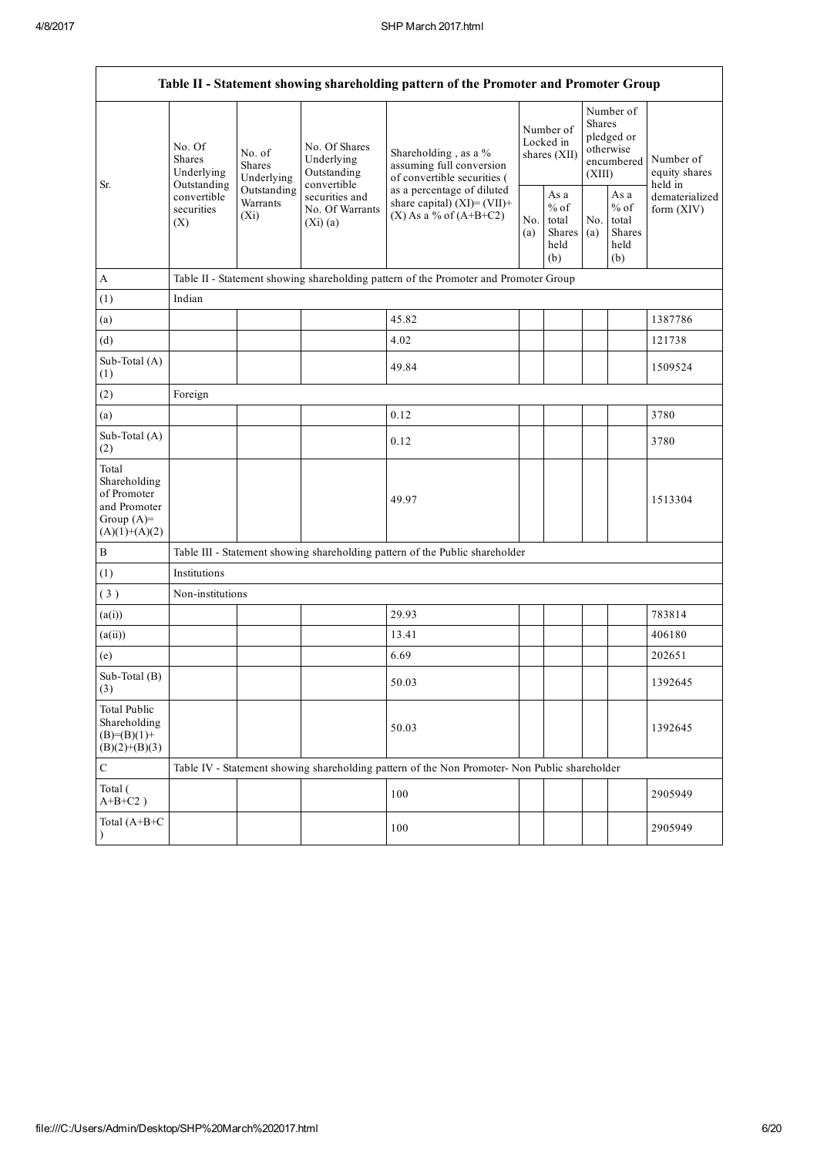|                                                                                         | Table II - Statement showing shareholding pattern of the Promoter and Promoter Group |                                                                                       |                                                           |                                                                                               |            |                                                  |                                                                        |                                                  |                                       |
|-----------------------------------------------------------------------------------------|--------------------------------------------------------------------------------------|---------------------------------------------------------------------------------------|-----------------------------------------------------------|-----------------------------------------------------------------------------------------------|------------|--------------------------------------------------|------------------------------------------------------------------------|--------------------------------------------------|---------------------------------------|
| Sr.                                                                                     | No. Of<br>Shares<br>Underlying<br>Outstanding                                        | No. of<br><b>Shares</b><br>Underlying                                                 | No. Of Shares<br>Underlying<br>Outstanding<br>convertible | Shareholding, as a %<br>assuming full conversion<br>of convertible securities (               |            | Number of<br>Locked in<br>shares (XII)           | Number of<br>Shares<br>pledged or<br>otherwise<br>encumbered<br>(XIII) |                                                  | Number of<br>equity shares<br>held in |
|                                                                                         | convertible<br>securities<br>(X)                                                     | Outstanding<br>securities and<br>Warrants<br>No. Of Warrants<br>$(X_i)$<br>$(Xi)$ (a) |                                                           | as a percentage of diluted<br>share capital) $(XI) = (VII) +$<br>$(X)$ As a % of $(A+B+C2)$   | No.<br>(a) | As a<br>$%$ of<br>total<br>Shares<br>held<br>(b) | No.<br>(a)                                                             | As a<br>$%$ of<br>total<br>Shares<br>held<br>(b) | dematerialized<br>form $(XIV)$        |
| A                                                                                       |                                                                                      |                                                                                       |                                                           | Table II - Statement showing shareholding pattern of the Promoter and Promoter Group          |            |                                                  |                                                                        |                                                  |                                       |
| (1)                                                                                     | Indian                                                                               |                                                                                       |                                                           |                                                                                               |            |                                                  |                                                                        |                                                  |                                       |
| (a)                                                                                     |                                                                                      |                                                                                       |                                                           | 45.82                                                                                         |            |                                                  |                                                                        |                                                  | 1387786                               |
| (d)                                                                                     |                                                                                      |                                                                                       |                                                           | 4.02                                                                                          |            |                                                  |                                                                        |                                                  | 121738                                |
| Sub-Total (A)<br>(1)                                                                    |                                                                                      |                                                                                       |                                                           | 49.84                                                                                         |            |                                                  |                                                                        |                                                  | 1509524                               |
| (2)                                                                                     | Foreign                                                                              |                                                                                       |                                                           |                                                                                               |            |                                                  |                                                                        |                                                  |                                       |
| (a)                                                                                     |                                                                                      |                                                                                       |                                                           | 0.12                                                                                          |            |                                                  |                                                                        |                                                  | 3780                                  |
| Sub-Total (A)<br>(2)                                                                    |                                                                                      |                                                                                       |                                                           | 0.12                                                                                          |            |                                                  |                                                                        |                                                  | 3780                                  |
| Total<br>Shareholding<br>of Promoter<br>and Promoter<br>Group $(A)=$<br>$(A)(1)+(A)(2)$ |                                                                                      |                                                                                       |                                                           | 49.97                                                                                         |            |                                                  |                                                                        |                                                  | 1513304                               |
| $\, {\bf B}$                                                                            |                                                                                      |                                                                                       |                                                           | Table III - Statement showing shareholding pattern of the Public shareholder                  |            |                                                  |                                                                        |                                                  |                                       |
| (1)                                                                                     | Institutions                                                                         |                                                                                       |                                                           |                                                                                               |            |                                                  |                                                                        |                                                  |                                       |
| (3)                                                                                     | Non-institutions                                                                     |                                                                                       |                                                           |                                                                                               |            |                                                  |                                                                        |                                                  |                                       |
| (a(i))                                                                                  |                                                                                      |                                                                                       |                                                           | 29.93                                                                                         |            |                                                  |                                                                        |                                                  | 783814                                |
| (a(ii))                                                                                 |                                                                                      |                                                                                       |                                                           | 13.41                                                                                         |            |                                                  |                                                                        |                                                  | 406180                                |
| (e)                                                                                     |                                                                                      |                                                                                       |                                                           | 6.69                                                                                          |            |                                                  |                                                                        |                                                  | 202651                                |
| Sub-Total (B)<br>(3)                                                                    |                                                                                      |                                                                                       |                                                           | 50.03                                                                                         |            |                                                  |                                                                        |                                                  | 1392645                               |
| <b>Total Public</b><br>Shareholding<br>$(B)= (B)(1) +$<br>$(B)(2)+(B)(3)$               |                                                                                      |                                                                                       |                                                           | 50.03                                                                                         |            |                                                  |                                                                        |                                                  | 1392645                               |
| ${\bf C}$                                                                               |                                                                                      |                                                                                       |                                                           | Table IV - Statement showing shareholding pattern of the Non Promoter- Non Public shareholder |            |                                                  |                                                                        |                                                  |                                       |
| Total (<br>$A+B+C2$ )                                                                   |                                                                                      |                                                                                       |                                                           | 100                                                                                           |            |                                                  |                                                                        |                                                  | 2905949                               |
| Total (A+B+C<br>$\lambda$                                                               |                                                                                      |                                                                                       |                                                           | 100                                                                                           |            |                                                  |                                                                        |                                                  | 2905949                               |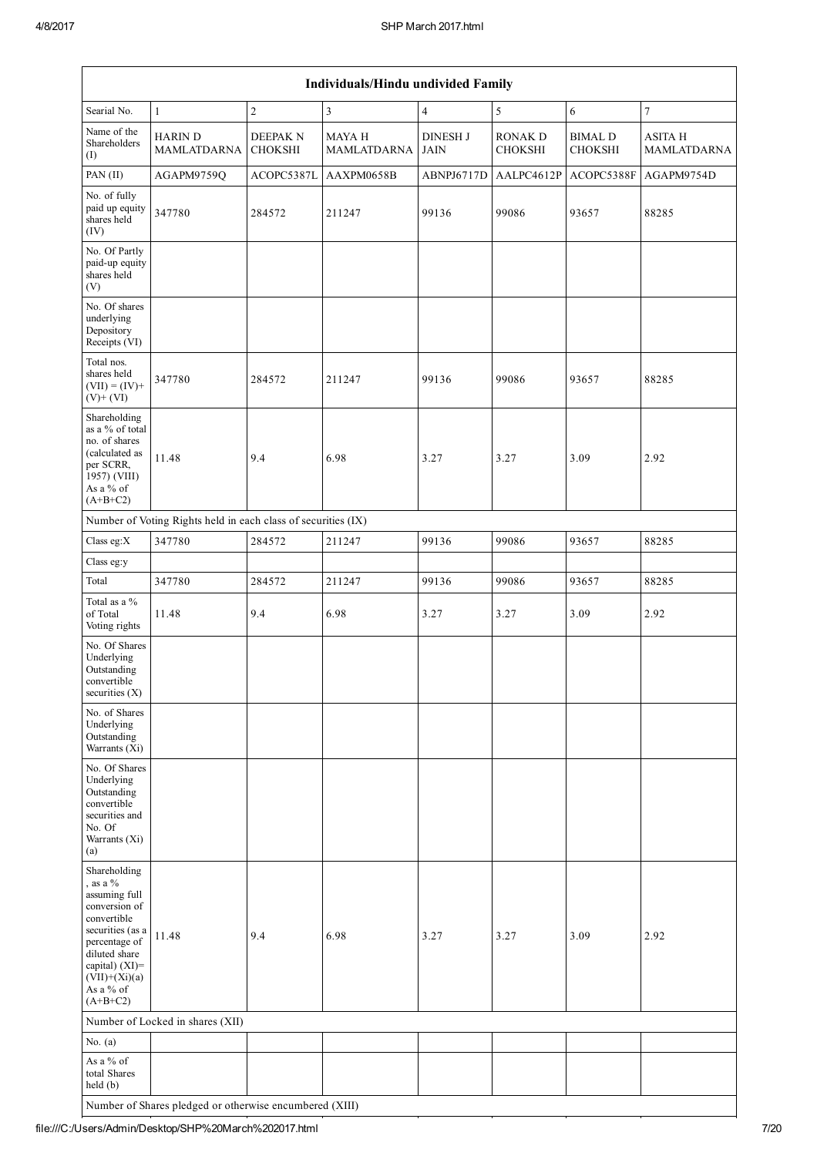|                                                                                                                                                                                                   | Individuals/Hindu undivided Family                            |                                   |                              |                                |                                  |                                  |                                      |
|---------------------------------------------------------------------------------------------------------------------------------------------------------------------------------------------------|---------------------------------------------------------------|-----------------------------------|------------------------------|--------------------------------|----------------------------------|----------------------------------|--------------------------------------|
| Searial No.                                                                                                                                                                                       | $\mathbf{1}$                                                  | $\sqrt{2}$                        | $\overline{3}$               | $\overline{4}$                 | 5                                | 6                                | $\boldsymbol{7}$                     |
| Name of the<br>Shareholders<br>(I)                                                                                                                                                                | <b>HARIN D</b><br>MAMLATDARNA                                 | <b>DEEPAK N</b><br><b>CHOKSHI</b> | <b>MAYA H</b><br>MAMLATDARNA | <b>DINESH J</b><br><b>JAIN</b> | <b>RONAK D</b><br><b>CHOKSHI</b> | <b>BIMAL D</b><br><b>CHOKSHI</b> | <b>ASITA H</b><br><b>MAMLATDARNA</b> |
| PAN (II)                                                                                                                                                                                          | AGAPM9759Q                                                    | ACOPC5387L                        | AAXPM0658B                   | ABNPJ6717D                     | AALPC4612P                       | ACOPC5388F                       | AGAPM9754D                           |
| No. of fully<br>paid up equity<br>shares held<br>(IV)                                                                                                                                             | 347780                                                        | 284572                            | 211247                       | 99136                          | 99086                            | 93657                            | 88285                                |
| No. Of Partly<br>paid-up equity<br>shares held<br>(V)                                                                                                                                             |                                                               |                                   |                              |                                |                                  |                                  |                                      |
| No. Of shares<br>underlying<br>Depository<br>Receipts (VI)                                                                                                                                        |                                                               |                                   |                              |                                |                                  |                                  |                                      |
| Total nos.<br>shares held<br>$(VII) = (IV) +$<br>$(V)$ + $(VI)$                                                                                                                                   | 347780                                                        | 284572                            | 211247                       | 99136                          | 99086                            | 93657                            | 88285                                |
| Shareholding<br>as a % of total<br>no. of shares<br>(calculated as<br>per SCRR,<br>1957) (VIII)<br>As a % of<br>$(A+B+C2)$                                                                        | 11.48                                                         | 9.4                               | 6.98                         | 3.27                           | 3.27                             | 3.09                             | 2.92                                 |
|                                                                                                                                                                                                   | Number of Voting Rights held in each class of securities (IX) |                                   |                              |                                |                                  |                                  |                                      |
| Class eg: $X$                                                                                                                                                                                     | 347780                                                        | 284572                            | 211247                       | 99136                          | 99086                            | 93657                            | 88285                                |
| Class eg:y                                                                                                                                                                                        |                                                               |                                   |                              |                                |                                  |                                  |                                      |
| Total                                                                                                                                                                                             | 347780                                                        | 284572                            | 211247                       | 99136                          | 99086                            | 93657                            | 88285                                |
| Total as a %<br>of Total<br>Voting rights                                                                                                                                                         | 11.48                                                         | 9.4                               | 6.98                         | 3.27                           | 3.27                             | 3.09                             | 2.92                                 |
| No. Of Shares<br>Underlying<br>Outstanding<br>convertible<br>securities $(X)$                                                                                                                     |                                                               |                                   |                              |                                |                                  |                                  |                                      |
| No. of Shares<br>Underlying<br>Outstanding<br>Warrants (Xi)                                                                                                                                       |                                                               |                                   |                              |                                |                                  |                                  |                                      |
| No. Of Shares<br>Underlying<br>Outstanding<br>convertible<br>securities and<br>No. Of<br>Warrants (Xi)<br>(a)                                                                                     |                                                               |                                   |                              |                                |                                  |                                  |                                      |
| Shareholding<br>, as a $%$<br>assuming full<br>conversion of<br>convertible<br>securities (as a<br>percentage of<br>diluted share<br>capital) (XI)=<br>$(VII)+(Xi)(a)$<br>As a % of<br>$(A+B+C2)$ | 11.48                                                         | 9.4                               | 6.98                         | 3.27                           | 3.27                             | 3.09                             | 2.92                                 |
|                                                                                                                                                                                                   | Number of Locked in shares (XII)                              |                                   |                              |                                |                                  |                                  |                                      |
| No. $(a)$                                                                                                                                                                                         |                                                               |                                   |                              |                                |                                  |                                  |                                      |
| As a % of<br>total Shares<br>held (b)                                                                                                                                                             |                                                               |                                   |                              |                                |                                  |                                  |                                      |
|                                                                                                                                                                                                   | Number of Shares pledged or otherwise encumbered (XIII)       |                                   |                              |                                |                                  |                                  |                                      |

file:///C:/Users/Admin/Desktop/SHP%20March%202017.html 7/20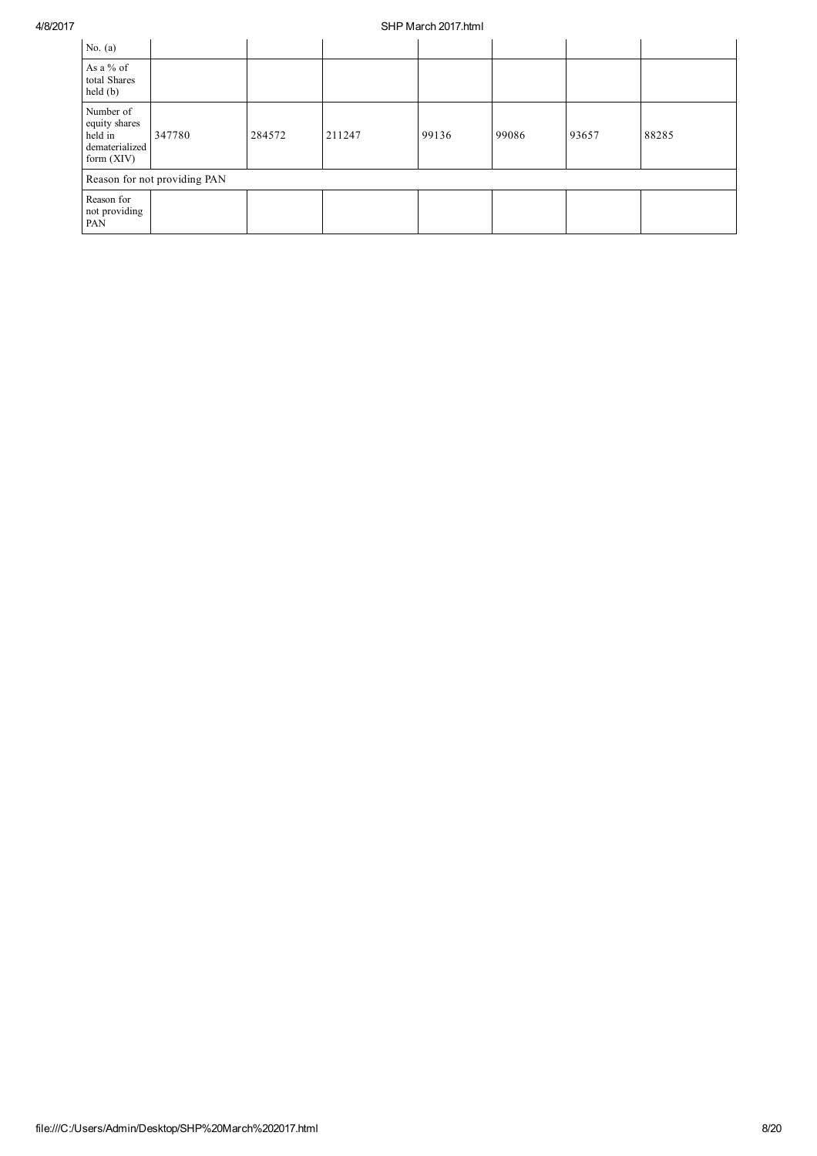| No. $(a)$                                                               |                              |        |        |       |       |       |       |
|-------------------------------------------------------------------------|------------------------------|--------|--------|-------|-------|-------|-------|
| As a % of<br>total Shares<br>held(b)                                    |                              |        |        |       |       |       |       |
| Number of<br>equity shares<br>held in<br>dematerialized<br>form $(XIV)$ | 347780                       | 284572 | 211247 | 99136 | 99086 | 93657 | 88285 |
|                                                                         | Reason for not providing PAN |        |        |       |       |       |       |
| Reason for<br>not providing<br>PAN                                      |                              |        |        |       |       |       |       |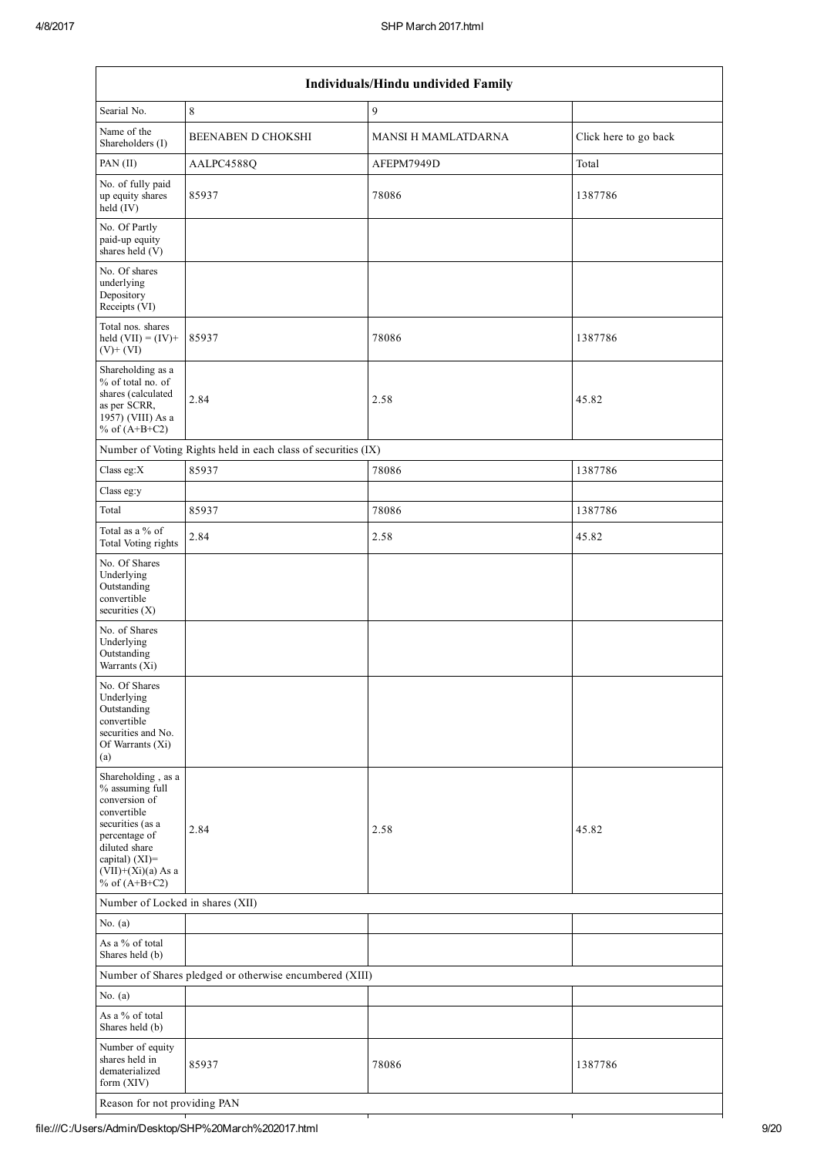| Individuals/Hindu undivided Family                                                                                                                                                       |                                                               |                     |                       |  |  |  |
|------------------------------------------------------------------------------------------------------------------------------------------------------------------------------------------|---------------------------------------------------------------|---------------------|-----------------------|--|--|--|
| Searial No.                                                                                                                                                                              | 8                                                             | 9                   |                       |  |  |  |
| Name of the<br>Shareholders (I)                                                                                                                                                          | <b>BEENABEN D CHOKSHI</b>                                     | MANSI H MAMLATDARNA | Click here to go back |  |  |  |
| PAN (II)                                                                                                                                                                                 | AALPC4588Q                                                    | AFEPM7949D          | Total                 |  |  |  |
| No. of fully paid<br>up equity shares<br>held (IV)                                                                                                                                       | 85937                                                         | 78086               | 1387786               |  |  |  |
| No. Of Partly<br>paid-up equity<br>shares held (V)                                                                                                                                       |                                                               |                     |                       |  |  |  |
| No. Of shares<br>underlying<br>Depository<br>Receipts (VI)                                                                                                                               |                                                               |                     |                       |  |  |  |
| Total nos. shares<br>held $(VII) = (IV) +$<br>$(V)$ + $(VI)$                                                                                                                             | 85937                                                         | 78086               | 1387786               |  |  |  |
| Shareholding as a<br>% of total no. of<br>shares (calculated<br>as per SCRR,<br>1957) (VIII) As a<br>% of $(A+B+C2)$                                                                     | 2.84                                                          | 2.58                | 45.82                 |  |  |  |
|                                                                                                                                                                                          | Number of Voting Rights held in each class of securities (IX) |                     |                       |  |  |  |
| Class eg:X                                                                                                                                                                               | 85937                                                         | 78086               | 1387786               |  |  |  |
| Class eg:y                                                                                                                                                                               |                                                               |                     |                       |  |  |  |
| Total                                                                                                                                                                                    | 85937                                                         | 78086               | 1387786               |  |  |  |
| Total as a % of<br><b>Total Voting rights</b>                                                                                                                                            | 2.84                                                          | 2.58                | 45.82                 |  |  |  |
| No. Of Shares<br>Underlying<br>Outstanding<br>convertible<br>securities $(X)$                                                                                                            |                                                               |                     |                       |  |  |  |
| No. of Shares<br>Underlying<br>Outstanding<br>Warrants (Xi)                                                                                                                              |                                                               |                     |                       |  |  |  |
| No. Of Shares<br>Underlying<br>Outstanding<br>convertible<br>securities and No.<br>Of Warrants (Xi)<br>(a)                                                                               |                                                               |                     |                       |  |  |  |
| Shareholding, as a<br>% assuming full<br>conversion of<br>convertible<br>securities (as a<br>percentage of<br>diluted share<br>capital) (XI)=<br>$(VII)+(Xi)(a)$ As a<br>% of $(A+B+C2)$ | 2.84                                                          | 2.58                | 45.82                 |  |  |  |
|                                                                                                                                                                                          | Number of Locked in shares (XII)                              |                     |                       |  |  |  |
| No. $(a)$                                                                                                                                                                                |                                                               |                     |                       |  |  |  |
| As a % of total<br>Shares held (b)                                                                                                                                                       |                                                               |                     |                       |  |  |  |
|                                                                                                                                                                                          | Number of Shares pledged or otherwise encumbered (XIII)       |                     |                       |  |  |  |
| No. $(a)$                                                                                                                                                                                |                                                               |                     |                       |  |  |  |
| As a % of total<br>Shares held (b)                                                                                                                                                       |                                                               |                     |                       |  |  |  |
| Number of equity<br>shares held in<br>dematerialized<br>form (XIV)                                                                                                                       | 85937                                                         | 78086               | 1387786               |  |  |  |
| Reason for not providing PAN                                                                                                                                                             |                                                               |                     |                       |  |  |  |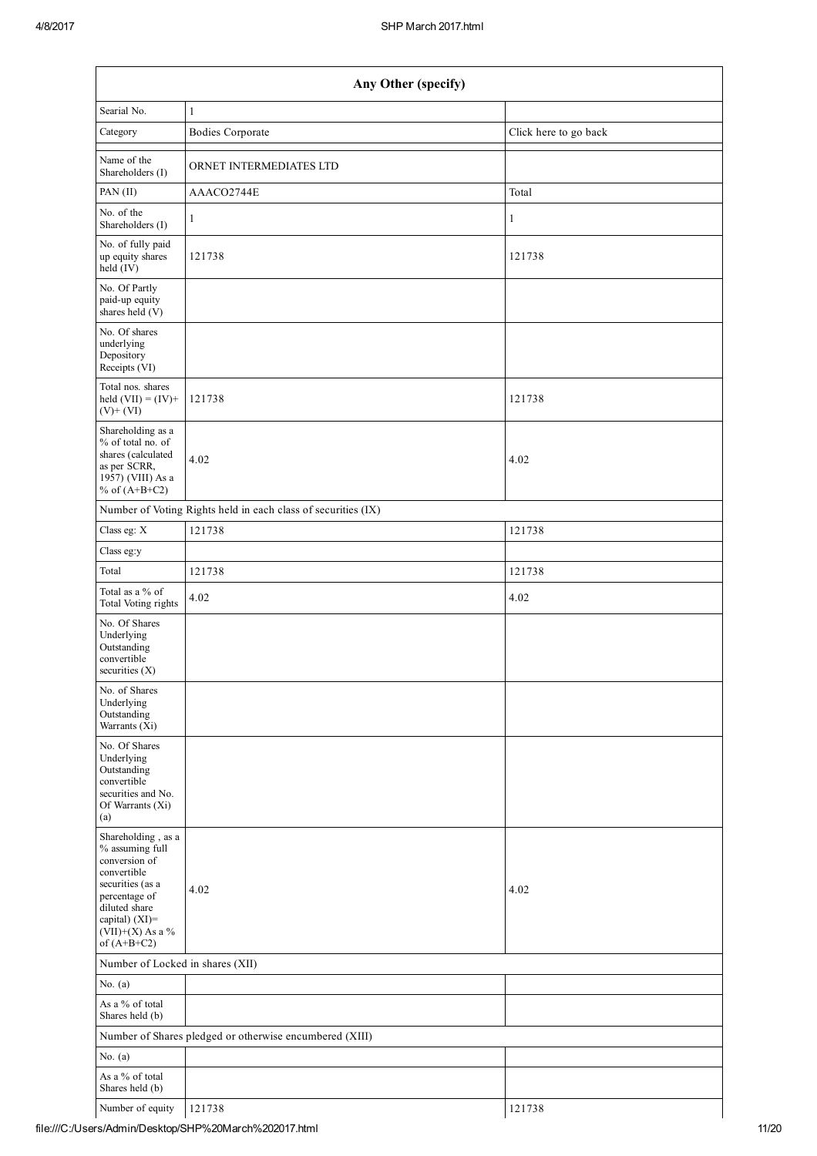| Any Other (specify)                                                                                                                                                                |                                                               |                       |  |  |  |  |  |
|------------------------------------------------------------------------------------------------------------------------------------------------------------------------------------|---------------------------------------------------------------|-----------------------|--|--|--|--|--|
| Searial No.                                                                                                                                                                        | $\mathbf{1}$                                                  |                       |  |  |  |  |  |
| Category                                                                                                                                                                           | <b>Bodies Corporate</b>                                       | Click here to go back |  |  |  |  |  |
| Name of the<br>Shareholders (I)                                                                                                                                                    | ORNET INTERMEDIATES LTD                                       |                       |  |  |  |  |  |
| PAN(II)                                                                                                                                                                            | AAACO2744E                                                    | Total                 |  |  |  |  |  |
| No. of the<br>Shareholders (I)                                                                                                                                                     | $\mathbf{1}$                                                  | $\mathbf{1}$          |  |  |  |  |  |
| No. of fully paid<br>up equity shares<br>held $(IV)$                                                                                                                               | 121738                                                        | 121738                |  |  |  |  |  |
| No. Of Partly<br>paid-up equity<br>shares held (V)                                                                                                                                 |                                                               |                       |  |  |  |  |  |
| No. Of shares<br>underlying<br>Depository<br>Receipts (VI)                                                                                                                         |                                                               |                       |  |  |  |  |  |
| Total nos. shares<br>held $(VII) = (IV) +$<br>$(V)$ + $(VI)$                                                                                                                       | 121738                                                        | 121738                |  |  |  |  |  |
| Shareholding as a<br>% of total no. of<br>shares (calculated<br>as per SCRR,<br>1957) (VIII) As a<br>% of $(A+B+C2)$                                                               | 4.02                                                          | 4.02                  |  |  |  |  |  |
|                                                                                                                                                                                    | Number of Voting Rights held in each class of securities (IX) |                       |  |  |  |  |  |
| Class eg: X                                                                                                                                                                        | 121738                                                        | 121738                |  |  |  |  |  |
| Class eg:y                                                                                                                                                                         |                                                               |                       |  |  |  |  |  |
| Total                                                                                                                                                                              | 121738                                                        | 121738                |  |  |  |  |  |
| Total as a % of<br>Total Voting rights                                                                                                                                             | 4.02                                                          | 4.02                  |  |  |  |  |  |
| No. Of Shares<br>Underlying<br>Outstanding<br>convertible<br>securities $(X)$                                                                                                      |                                                               |                       |  |  |  |  |  |
| No. of Shares<br>Underlying<br>Outstanding<br>Warrants (Xi)                                                                                                                        |                                                               |                       |  |  |  |  |  |
| No. Of Shares<br>Underlying<br>Outstanding<br>convertible<br>securities and No.<br>Of Warrants (Xi)<br>(a)                                                                         |                                                               |                       |  |  |  |  |  |
| Shareholding, as a<br>% assuming full<br>conversion of<br>convertible<br>securities (as a<br>percentage of<br>diluted share<br>capital) (XI)=<br>(VII)+(X) As a %<br>of $(A+B+C2)$ | 4.02                                                          | 4.02                  |  |  |  |  |  |
| Number of Locked in shares (XII)                                                                                                                                                   |                                                               |                       |  |  |  |  |  |
| No. $(a)$                                                                                                                                                                          |                                                               |                       |  |  |  |  |  |
| As a % of total<br>Shares held (b)                                                                                                                                                 |                                                               |                       |  |  |  |  |  |
|                                                                                                                                                                                    | Number of Shares pledged or otherwise encumbered (XIII)       |                       |  |  |  |  |  |
| No. $(a)$                                                                                                                                                                          |                                                               |                       |  |  |  |  |  |
| As a % of total<br>Shares held (b)                                                                                                                                                 |                                                               |                       |  |  |  |  |  |
| Number of equity                                                                                                                                                                   | 121738                                                        | 121738                |  |  |  |  |  |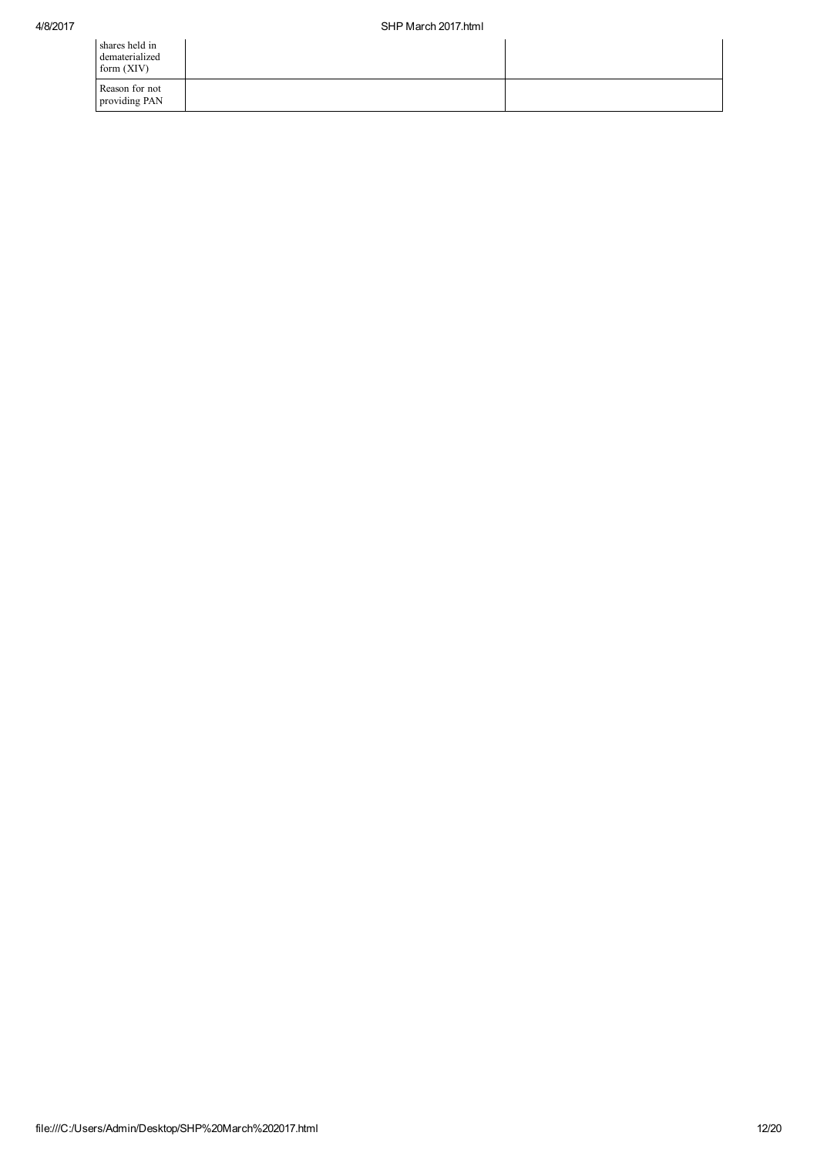| shares held in<br>dematerialized<br>form $(XIV)$ |  |
|--------------------------------------------------|--|
| Reason for not<br>providing PAN                  |  |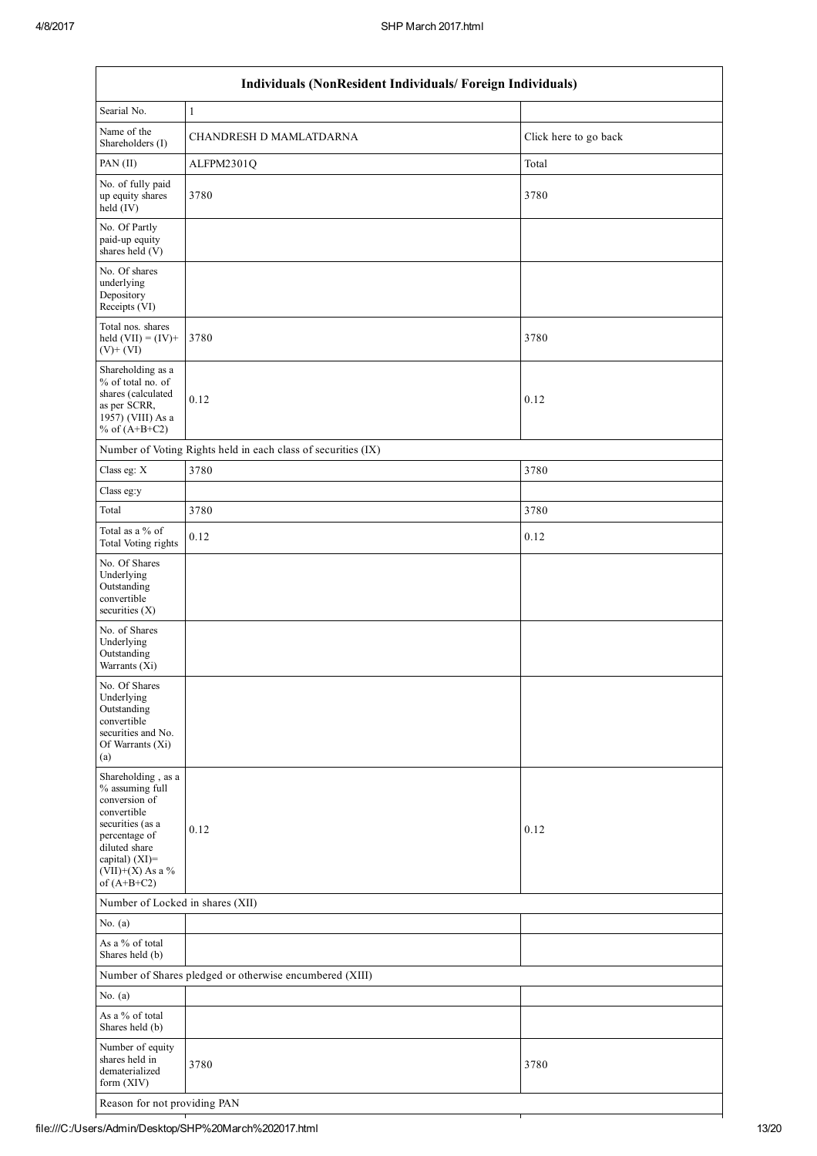$\overline{1}$ 

|                                                                                                                                                                                      | Individuals (NonResident Individuals/ Foreign Individuals)    |                       |  |  |  |  |  |
|--------------------------------------------------------------------------------------------------------------------------------------------------------------------------------------|---------------------------------------------------------------|-----------------------|--|--|--|--|--|
| Searial No.                                                                                                                                                                          | $\mathbf{1}$                                                  |                       |  |  |  |  |  |
| Name of the<br>Shareholders (I)                                                                                                                                                      | CHANDRESH D MAMLATDARNA                                       | Click here to go back |  |  |  |  |  |
| PAN (II)                                                                                                                                                                             | ALFPM2301Q                                                    | Total                 |  |  |  |  |  |
| No. of fully paid<br>up equity shares<br>held (IV)                                                                                                                                   | 3780                                                          | 3780                  |  |  |  |  |  |
| No. Of Partly<br>paid-up equity<br>shares held (V)                                                                                                                                   |                                                               |                       |  |  |  |  |  |
| No. Of shares<br>underlying<br>Depository<br>Receipts (VI)                                                                                                                           |                                                               |                       |  |  |  |  |  |
| Total nos. shares<br>held $(VII) = (IV) +$<br>$(V)$ + $(VI)$                                                                                                                         | 3780                                                          | 3780                  |  |  |  |  |  |
| Shareholding as a<br>% of total no. of<br>shares (calculated<br>as per SCRR,<br>1957) (VIII) As a<br>% of $(A+B+C2)$                                                                 | 0.12                                                          | 0.12                  |  |  |  |  |  |
|                                                                                                                                                                                      | Number of Voting Rights held in each class of securities (IX) |                       |  |  |  |  |  |
| Class eg: X                                                                                                                                                                          | 3780                                                          | 3780                  |  |  |  |  |  |
| Class eg:y                                                                                                                                                                           |                                                               |                       |  |  |  |  |  |
| Total                                                                                                                                                                                | 3780                                                          | 3780                  |  |  |  |  |  |
| Total as a % of<br>Total Voting rights                                                                                                                                               | 0.12                                                          | 0.12                  |  |  |  |  |  |
| No. Of Shares<br>Underlying<br>Outstanding<br>convertible<br>securities (X)                                                                                                          |                                                               |                       |  |  |  |  |  |
| No. of Shares<br>Underlying<br>Outstanding<br>Warrants (Xi)                                                                                                                          |                                                               |                       |  |  |  |  |  |
| No. Of Shares<br>Underlying<br>Outstanding<br>convertible<br>securities and No.<br>Of Warrants (Xi)<br>(a)                                                                           |                                                               |                       |  |  |  |  |  |
| Shareholding, as a<br>% assuming full<br>conversion of<br>convertible<br>securities (as a<br>percentage of<br>diluted share<br>capital) (XI)=<br>$(VII)+(X)$ As a %<br>of $(A+B+C2)$ | 0.12                                                          | 0.12                  |  |  |  |  |  |
| Number of Locked in shares (XII)                                                                                                                                                     |                                                               |                       |  |  |  |  |  |
| No. $(a)$                                                                                                                                                                            |                                                               |                       |  |  |  |  |  |
| As a % of total<br>Shares held (b)                                                                                                                                                   |                                                               |                       |  |  |  |  |  |
|                                                                                                                                                                                      | Number of Shares pledged or otherwise encumbered (XIII)       |                       |  |  |  |  |  |
| No. $(a)$                                                                                                                                                                            |                                                               |                       |  |  |  |  |  |
| As a % of total<br>Shares held (b)                                                                                                                                                   |                                                               |                       |  |  |  |  |  |
| Number of equity<br>shares held in<br>dematerialized<br>form (XIV)                                                                                                                   | 3780                                                          | 3780                  |  |  |  |  |  |
| Reason for not providing PAN                                                                                                                                                         |                                                               |                       |  |  |  |  |  |

 $\overline{\mathbf{1}}$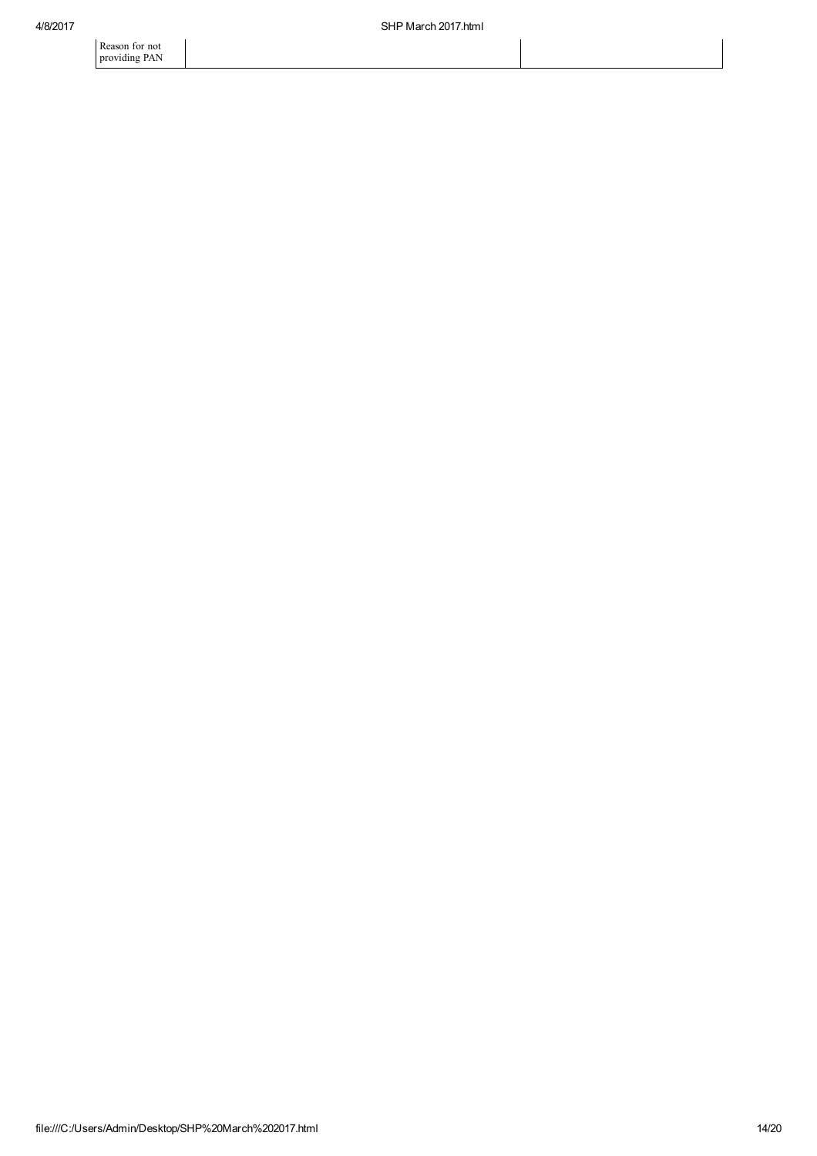Reason for not providing PAN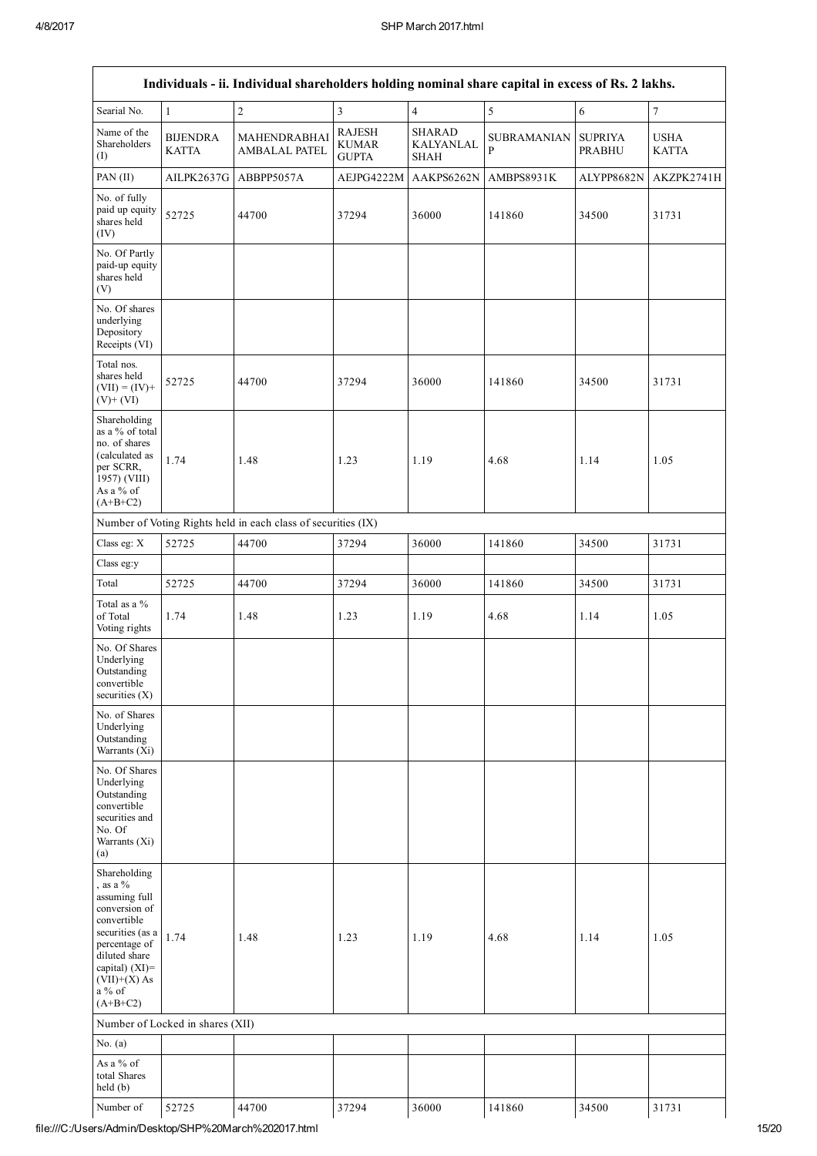| Individuals - ii. Individual shareholders holding nominal share capital in excess of Rs. 2 lakhs.                                                                                                 |                                  |                                                               |                                               |                                                  |                         |                                 |                             |  |  |
|---------------------------------------------------------------------------------------------------------------------------------------------------------------------------------------------------|----------------------------------|---------------------------------------------------------------|-----------------------------------------------|--------------------------------------------------|-------------------------|---------------------------------|-----------------------------|--|--|
| Searial No.                                                                                                                                                                                       | $\mathbf{1}$                     | $\overline{c}$                                                | 3                                             | $\overline{4}$                                   | 5                       | 6                               | $\boldsymbol{7}$            |  |  |
| Name of the<br>Shareholders<br>(I)                                                                                                                                                                | <b>BIJENDRA</b><br><b>KATTA</b>  | MAHENDRABHAI<br><b>AMBALAL PATEL</b>                          | <b>RAJESH</b><br><b>KUMAR</b><br><b>GUPTA</b> | <b>SHARAD</b><br><b>KALYANLAL</b><br><b>SHAH</b> | <b>SUBRAMANIAN</b><br>P | <b>SUPRIYA</b><br><b>PRABHU</b> | <b>USHA</b><br><b>KATTA</b> |  |  |
| PAN (II)                                                                                                                                                                                          | AILPK2637G                       | ABBPP5057A                                                    | AEJPG4222M                                    | AAKPS6262N                                       | AMBPS8931K              | ALYPP8682N                      | AKZPK2741H                  |  |  |
| No. of fully<br>paid up equity<br>shares held<br>(IV)                                                                                                                                             | 52725                            | 44700                                                         | 37294                                         | 36000                                            | 141860                  | 34500                           | 31731                       |  |  |
| No. Of Partly<br>paid-up equity<br>shares held<br>(V)                                                                                                                                             |                                  |                                                               |                                               |                                                  |                         |                                 |                             |  |  |
| No. Of shares<br>underlying<br>Depository<br>Receipts (VI)                                                                                                                                        |                                  |                                                               |                                               |                                                  |                         |                                 |                             |  |  |
| Total nos.<br>shares held<br>$(VII) = (IV) +$<br>$(V)+(VI)$                                                                                                                                       | 52725                            | 44700                                                         | 37294                                         | 36000                                            | 141860                  | 34500                           | 31731                       |  |  |
| Shareholding<br>as a % of total<br>no. of shares<br>(calculated as<br>per SCRR,<br>1957) (VIII)<br>As a % of<br>$(A+B+C2)$                                                                        | 1.74                             | 1.48                                                          | 1.23                                          | 1.19                                             | 4.68                    | 1.14                            | 1.05                        |  |  |
|                                                                                                                                                                                                   |                                  | Number of Voting Rights held in each class of securities (IX) |                                               |                                                  |                         |                                 |                             |  |  |
| Class eg: X                                                                                                                                                                                       | 52725                            | 44700                                                         | 37294                                         | 36000                                            | 141860                  | 34500                           | 31731                       |  |  |
| Class eg:y                                                                                                                                                                                        |                                  |                                                               |                                               |                                                  |                         |                                 |                             |  |  |
| Total                                                                                                                                                                                             | 52725                            | 44700                                                         | 37294                                         | 36000                                            | 141860                  | 34500                           | 31731                       |  |  |
| Total as a %<br>of Total<br>Voting rights                                                                                                                                                         | 1.74                             | 1.48                                                          | 1.23                                          | 1.19                                             | 4.68                    | 1.14                            | 1.05                        |  |  |
| No. Of Shares<br>Underlying<br>Outstanding<br>convertible<br>securities $(X)$                                                                                                                     |                                  |                                                               |                                               |                                                  |                         |                                 |                             |  |  |
| No. of Shares<br>Underlying<br>Outstanding<br>Warrants $(X_i)$                                                                                                                                    |                                  |                                                               |                                               |                                                  |                         |                                 |                             |  |  |
| No. Of Shares<br>Underlying<br>Outstanding<br>convertible<br>securities and<br>No. Of<br>Warrants (Xi)<br>(a)                                                                                     |                                  |                                                               |                                               |                                                  |                         |                                 |                             |  |  |
| Shareholding<br>, as a $\%$<br>assuming full<br>conversion of<br>convertible<br>securities (as a<br>percentage of<br>diluted share<br>capital) $(XI)$ =<br>$(VII)+(X)$ As<br>a % of<br>$(A+B+C2)$ | 1.74                             | 1.48                                                          | 1.23                                          | 1.19                                             | 4.68                    | 1.14                            | 1.05                        |  |  |
|                                                                                                                                                                                                   | Number of Locked in shares (XII) |                                                               |                                               |                                                  |                         |                                 |                             |  |  |
| No. $(a)$                                                                                                                                                                                         |                                  |                                                               |                                               |                                                  |                         |                                 |                             |  |  |
| As a % of<br>total Shares<br>held(b)                                                                                                                                                              |                                  |                                                               |                                               |                                                  |                         |                                 |                             |  |  |
| Number of                                                                                                                                                                                         | 52725                            | 44700                                                         | 37294                                         | 36000                                            | 141860                  | 34500                           | 31731                       |  |  |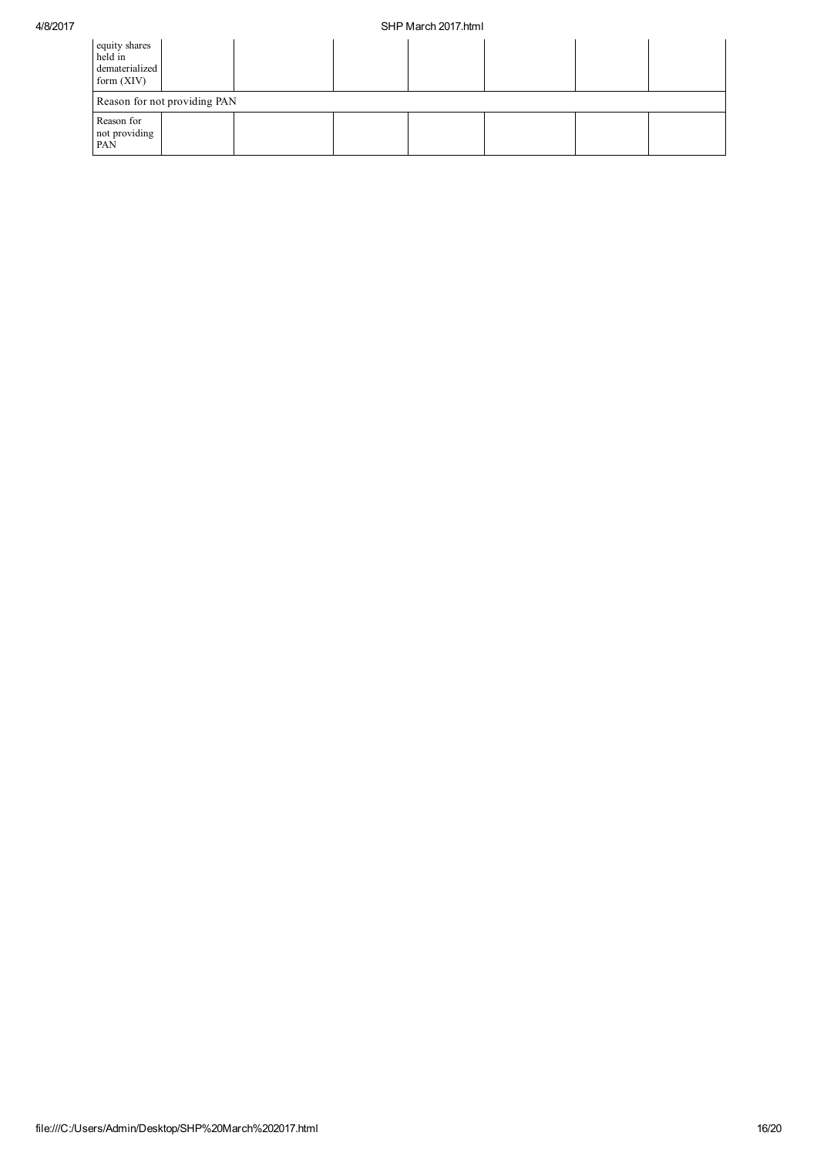## 4/8/2017 SHP March 2017.html

| equity shares<br>held in<br>dematerialized<br>form $(XIV)$ |  |  |  |  |  |  |  |  |
|------------------------------------------------------------|--|--|--|--|--|--|--|--|
| Reason for not providing PAN                               |  |  |  |  |  |  |  |  |
| Reason for<br>not providing<br>PAN                         |  |  |  |  |  |  |  |  |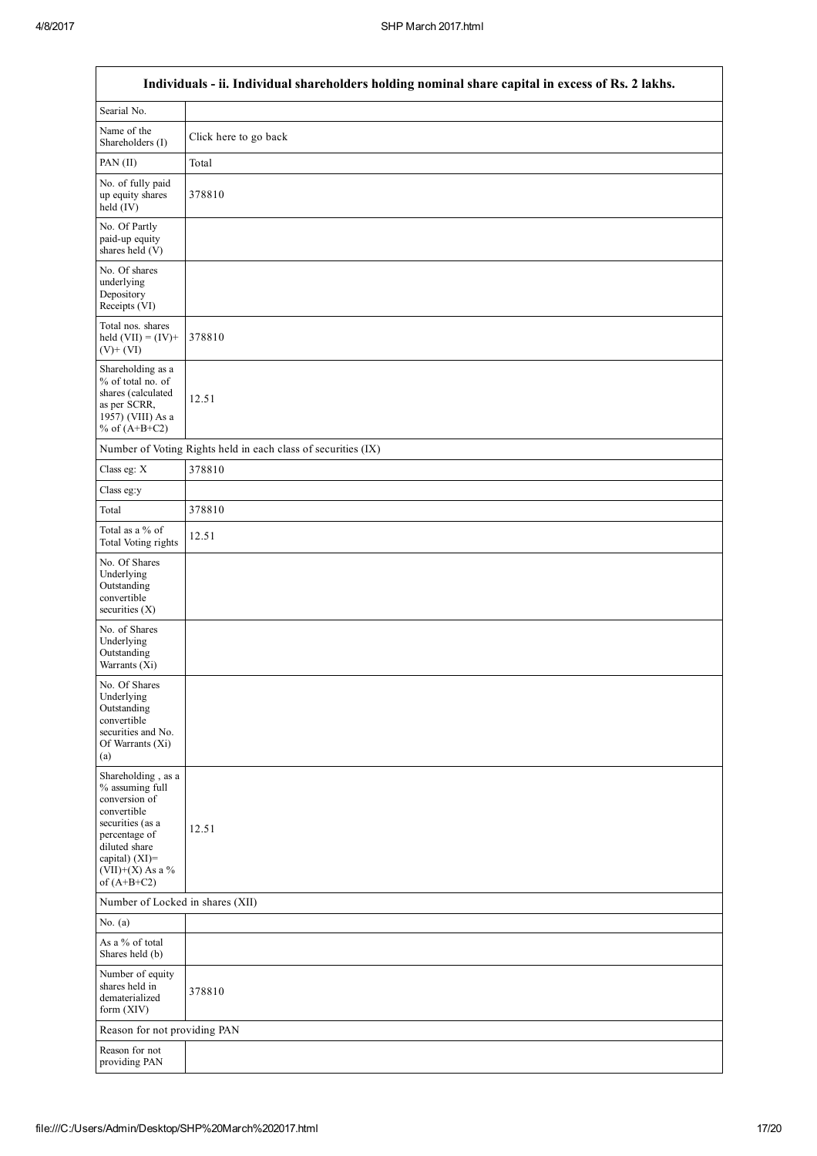- I

| Individuals - ii. Individual shareholders holding nominal share capital in excess of Rs. 2 lakhs.                                                                                    |                                                               |  |  |  |  |  |
|--------------------------------------------------------------------------------------------------------------------------------------------------------------------------------------|---------------------------------------------------------------|--|--|--|--|--|
| Searial No.                                                                                                                                                                          |                                                               |  |  |  |  |  |
| Name of the<br>Shareholders (I)                                                                                                                                                      | Click here to go back                                         |  |  |  |  |  |
| PAN (II)                                                                                                                                                                             | Total                                                         |  |  |  |  |  |
| No. of fully paid<br>up equity shares<br>held (IV)                                                                                                                                   | 378810                                                        |  |  |  |  |  |
| No. Of Partly<br>paid-up equity<br>shares held (V)                                                                                                                                   |                                                               |  |  |  |  |  |
| No. Of shares<br>underlying<br>Depository<br>Receipts (VI)                                                                                                                           |                                                               |  |  |  |  |  |
| Total nos. shares<br>held $(VII) = (IV) +$<br>$(V) + (VI)$                                                                                                                           | 378810                                                        |  |  |  |  |  |
| Shareholding as a<br>% of total no. of<br>shares (calculated<br>as per SCRR,<br>1957) (VIII) As a<br>% of $(A+B+C2)$                                                                 | 12.51                                                         |  |  |  |  |  |
|                                                                                                                                                                                      | Number of Voting Rights held in each class of securities (IX) |  |  |  |  |  |
| Class eg: X                                                                                                                                                                          | 378810                                                        |  |  |  |  |  |
| Class eg:y                                                                                                                                                                           |                                                               |  |  |  |  |  |
| Total                                                                                                                                                                                | 378810                                                        |  |  |  |  |  |
| Total as a % of<br><b>Total Voting rights</b>                                                                                                                                        | 12.51                                                         |  |  |  |  |  |
| No. Of Shares<br>Underlying<br>Outstanding<br>convertible<br>securities (X)                                                                                                          |                                                               |  |  |  |  |  |
| No. of Shares<br>Underlying<br>Outstanding<br>Warrants (Xi)                                                                                                                          |                                                               |  |  |  |  |  |
| No. Of Shares<br>Underlying<br>Outstanding<br>convertible<br>securities and No.<br>Of Warrants (Xi)<br>(a)                                                                           |                                                               |  |  |  |  |  |
| Shareholding, as a<br>% assuming full<br>conversion of<br>convertible<br>securities (as a<br>percentage of<br>diluted share<br>capital) (XI)=<br>$(VII)+(X)$ As a %<br>of $(A+B+C2)$ | 12.51                                                         |  |  |  |  |  |
| Number of Locked in shares (XII)                                                                                                                                                     |                                                               |  |  |  |  |  |
| No. $(a)$                                                                                                                                                                            |                                                               |  |  |  |  |  |
| As a % of total<br>Shares held (b)                                                                                                                                                   |                                                               |  |  |  |  |  |
| Number of equity<br>shares held in<br>dematerialized<br>form (XIV)                                                                                                                   | 378810                                                        |  |  |  |  |  |
| Reason for not providing PAN                                                                                                                                                         |                                                               |  |  |  |  |  |
| Reason for not<br>providing PAN                                                                                                                                                      |                                                               |  |  |  |  |  |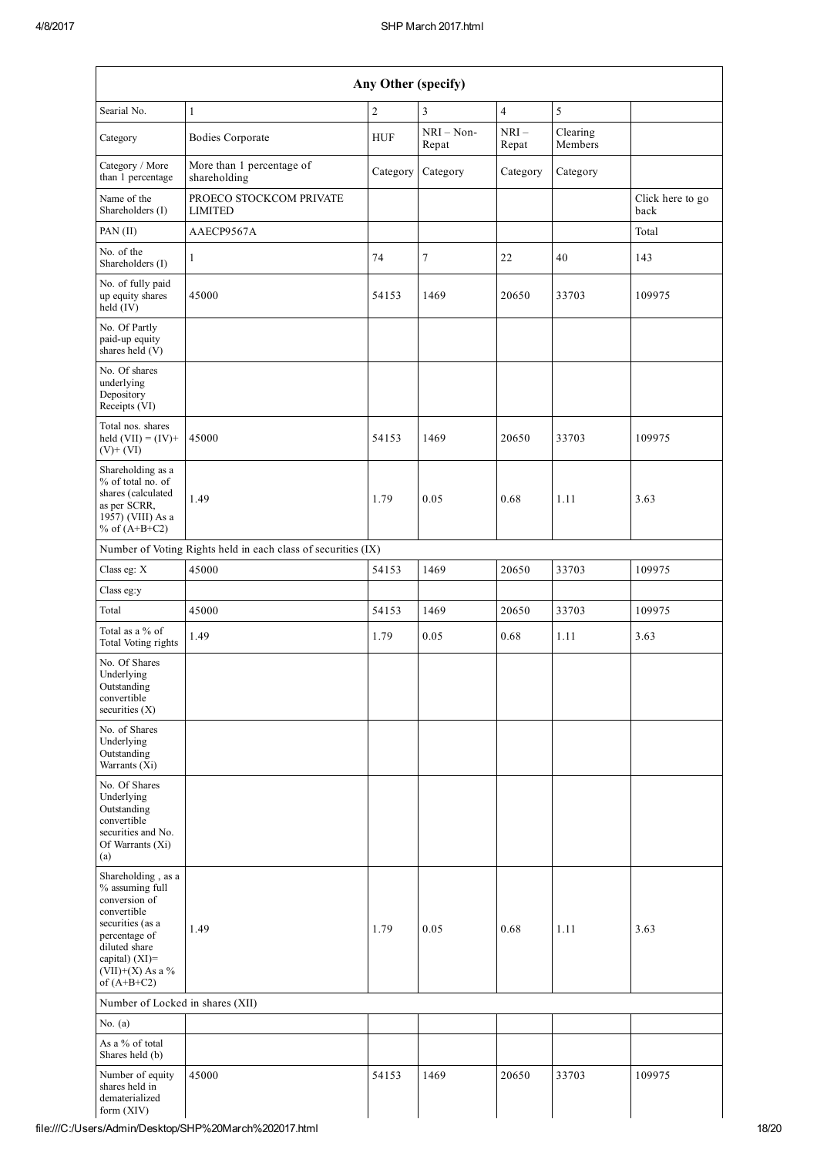| Searial No.                                                                                                                                                                           | $\mathbf{1}$                                                  | $\overline{c}$ | $\mathfrak{Z}$        | $\overline{4}$  | 5                   |                          |
|---------------------------------------------------------------------------------------------------------------------------------------------------------------------------------------|---------------------------------------------------------------|----------------|-----------------------|-----------------|---------------------|--------------------------|
| Category                                                                                                                                                                              | <b>Bodies Corporate</b>                                       | <b>HUF</b>     | $NRI - Non-$<br>Repat | $NRI-$<br>Repat | Clearing<br>Members |                          |
| Category / More<br>than 1 percentage                                                                                                                                                  | More than 1 percentage of<br>shareholding                     | Category       | Category              | Category        | Category            |                          |
| Name of the<br>Shareholders (I)                                                                                                                                                       | PROECO STOCKCOM PRIVATE<br><b>LIMITED</b>                     |                |                       |                 |                     | Click here to go<br>back |
| PAN (II)                                                                                                                                                                              | AAECP9567A                                                    |                |                       |                 |                     | Total                    |
| No. of the<br>Shareholders (I)                                                                                                                                                        | $\mathbf{1}$                                                  | 74             | $\overline{7}$        | 22              | 40                  | 143                      |
| No. of fully paid<br>up equity shares<br>$\text{held} (IV)$                                                                                                                           | 45000                                                         | 54153          | 1469                  | 20650           | 33703               | 109975                   |
| No. Of Partly<br>paid-up equity<br>shares held $(V)$                                                                                                                                  |                                                               |                |                       |                 |                     |                          |
| No. Of shares<br>underlying<br>Depository<br>Receipts (VI)                                                                                                                            |                                                               |                |                       |                 |                     |                          |
| Total nos. shares<br>held $(VII) = (IV) +$<br>$(V) + (VI)$                                                                                                                            | 45000                                                         | 54153          | 1469                  | 20650           | 33703               | 109975                   |
| Shareholding as a<br>% of total no. of<br>shares (calculated<br>as per SCRR,<br>$1957)$ (VIII) As a<br>% of $(A+B+C2)$                                                                | 1.49                                                          | 1.79           | 0.05                  | 0.68            | 1.11                | 3.63                     |
|                                                                                                                                                                                       | Number of Voting Rights held in each class of securities (IX) |                |                       |                 |                     |                          |
| Class eg: X                                                                                                                                                                           | 45000                                                         | 54153          | 1469                  | 20650           | 33703               | 109975                   |
| Class eg:y                                                                                                                                                                            |                                                               |                |                       |                 |                     |                          |
| Total                                                                                                                                                                                 | 45000                                                         | 54153          | 1469                  | 20650           | 33703               | 109975                   |
| Total as a % of<br>Total Voting rights                                                                                                                                                | 1.49                                                          | 1.79           | 0.05                  | 0.68            | 1.11                | 3.63                     |
| No. Of Shares<br>Underlying<br>Outstanding<br>convertible<br>securities (X)                                                                                                           |                                                               |                |                       |                 |                     |                          |
| No. of Shares<br>Underlying<br>Outstanding<br>Warrants (Xi)                                                                                                                           |                                                               |                |                       |                 |                     |                          |
| No. Of Shares<br>Underlying<br>Outstanding<br>convertible<br>securities and No.<br>Of Warrants (Xi)<br>(a)                                                                            |                                                               |                |                       |                 |                     |                          |
| Shareholding, as a<br>% assuming full<br>conversion of<br>convertible<br>securities (as a<br>percentage of<br>diluted share<br>capital) $(XI)$ =<br>(VII)+(X) As a %<br>of $(A+B+C2)$ | 1.49                                                          | 1.79           | 0.05                  | 0.68            | 1.11                | 3.63                     |
| Number of Locked in shares (XII)                                                                                                                                                      |                                                               |                |                       |                 |                     |                          |
| No. $(a)$                                                                                                                                                                             |                                                               |                |                       |                 |                     |                          |
| As a % of total<br>Shares held (b)                                                                                                                                                    |                                                               |                |                       |                 |                     |                          |
| Number of equity<br>shares held in<br>dematerialized                                                                                                                                  | 45000                                                         | 54153          | 1469                  | 20650           | 33703               | 109975                   |